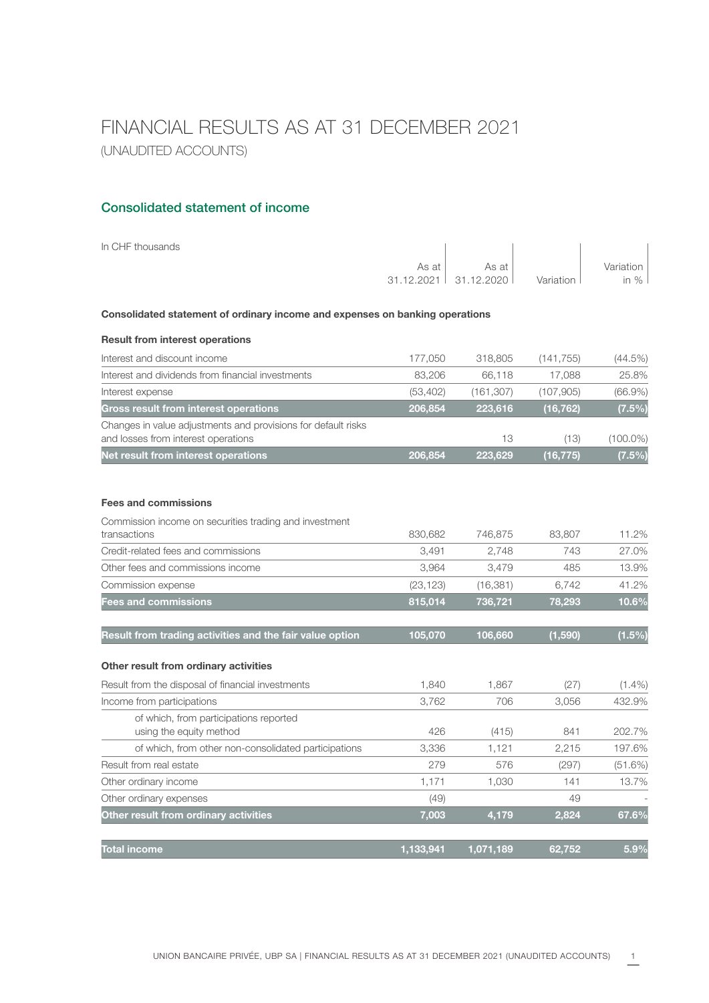# FINANCIAL RESULTS AS AT 31 DECEMBER 2021 (UNAUDITED ACCOUNTS)

#### Consolidated statement of income

| In CHF thousands                                                                                     |            |            |            |             |
|------------------------------------------------------------------------------------------------------|------------|------------|------------|-------------|
|                                                                                                      | As at      | As at      |            | Variation   |
|                                                                                                      | 31.12.2021 | 31.12.2020 | Variation  | in $%$      |
| Consolidated statement of ordinary income and expenses on banking operations                         |            |            |            |             |
| <b>Result from interest operations</b>                                                               |            |            |            |             |
| Interest and discount income                                                                         | 177,050    | 318,805    | (141, 755) | (44.5%)     |
| Interest and dividends from financial investments                                                    | 83,206     | 66,118     | 17,088     | 25.8%       |
| Interest expense                                                                                     | (53, 402)  | (161, 307) | (107, 905) | $(66.9\%)$  |
| <b>Gross result from interest operations</b>                                                         | 206,854    | 223,616    | (16, 762)  | (7.5%)      |
| Changes in value adjustments and provisions for default risks<br>and losses from interest operations |            | 13         | (13)       | $(100.0\%)$ |
| Net result from interest operations                                                                  | 206,854    | 223,629    | (16, 775)  | $(7.5\%)$   |
| <b>Fees and commissions</b>                                                                          |            |            |            |             |
| Commission income on securities trading and investment                                               |            |            |            |             |
| transactions                                                                                         | 830,682    | 746,875    | 83,807     | 11.2%       |
| Credit-related fees and commissions                                                                  | 3,491      | 2,748      | 743        | 27.0%       |
| Other fees and commissions income                                                                    | 3,964      | 3,479      | 485        | 13.9%       |
| Commission expense                                                                                   | (23, 123)  | (16, 381)  | 6.742      | 41.2%       |
| <b>Fees and commissions</b>                                                                          | 815,014    | 736,721    | 78,293     | 10.6%       |
| Result from trading activities and the fair value option                                             | 105,070    | 106,660    | (1,590)    | $(1.5\%)$   |
| Other result from ordinary activities                                                                |            |            |            |             |
| Result from the disposal of financial investments                                                    | 1,840      | 1,867      | (27)       | $(1.4\%)$   |

|       |           |           | $\cdots$ |
|-------|-----------|-----------|----------|
| 3.762 | 706       | 3,056     | 432.9%   |
|       |           |           |          |
| 426   | (415)     | 841       | 202.7%   |
| 3,336 | 1.121     | 2,215     | 197.6%   |
| 279   | 576       | (297)     | (51.6%)  |
| 1.171 | 1,030     | 141       | 13.7%    |
| (49)  |           | 49        |          |
| 7,003 | 4,179     | 2,824     | 67.6%    |
|       |           |           | 5.9%     |
|       | 1.133.941 | 1.071.189 | 62.752   |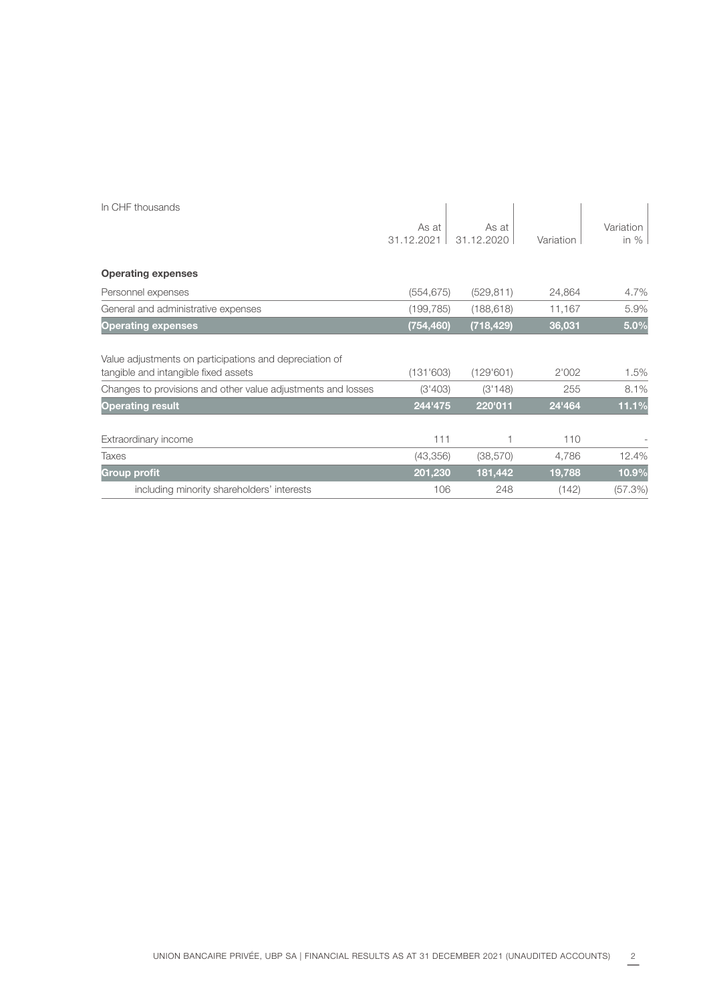| In CHF thousands                                                                                |                     |                     |           |                     |
|-------------------------------------------------------------------------------------------------|---------------------|---------------------|-----------|---------------------|
|                                                                                                 | As at<br>31.12.2021 | As at<br>31.12.2020 | Variation | Variation<br>in $%$ |
| <b>Operating expenses</b>                                                                       |                     |                     |           |                     |
| Personnel expenses                                                                              | (554, 675)          | (529, 811)          | 24,864    | 4.7%                |
| General and administrative expenses                                                             | (199, 785)          | (188, 618)          | 11,167    | 5.9%                |
| <b>Operating expenses</b>                                                                       | (754,460)           | (718, 429)          | 36,031    | 5.0%                |
| Value adjustments on participations and depreciation of<br>tangible and intangible fixed assets | (131'603)           | (129'601)           | 2'002     | 1.5%                |
| Changes to provisions and other value adjustments and losses                                    | (3'403)             | (3'148)             | 255       | 8.1%                |
| <b>Operating result</b>                                                                         | 244'475             | 220'011             | 24'464    | 11.1%               |
| Extraordinary income                                                                            | 111                 |                     | 110       |                     |
| <b>Taxes</b>                                                                                    | (43, 356)           | (38, 570)           | 4,786     | 12.4%               |
| <b>Group profit</b>                                                                             | 201,230             | 181,442             | 19,788    | 10.9%               |
| including minority shareholders' interests                                                      | 106                 | 248                 | (142)     | (57.3%)             |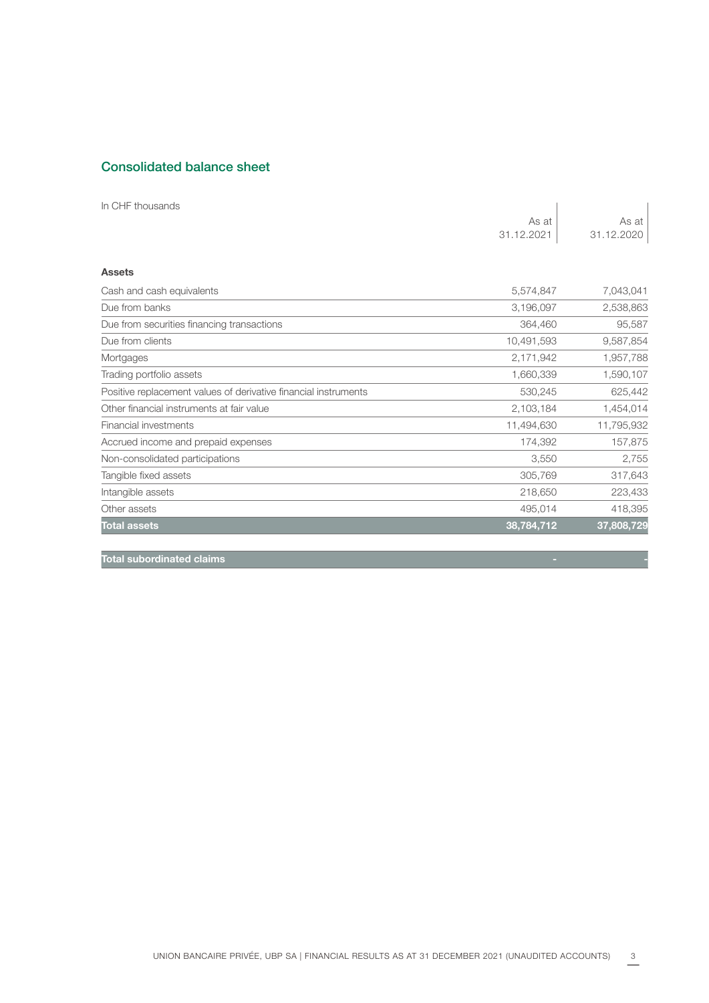### Consolidated balance sheet

| In CHF thousands                                                |            |            |
|-----------------------------------------------------------------|------------|------------|
|                                                                 | As at      | As at      |
|                                                                 | 31.12.2021 | 31.12.2020 |
| <b>Assets</b>                                                   |            |            |
| Cash and cash equivalents                                       | 5,574,847  | 7,043,041  |
| Due from banks                                                  | 3,196,097  | 2,538,863  |
| Due from securities financing transactions                      | 364,460    | 95,587     |
| Due from clients                                                | 10,491,593 | 9,587,854  |
| Mortgages                                                       | 2,171,942  | 1,957,788  |
| Trading portfolio assets                                        | 1,660,339  | 1,590,107  |
| Positive replacement values of derivative financial instruments | 530,245    | 625,442    |
| Other financial instruments at fair value                       | 2,103,184  | 1,454,014  |
| Financial investments                                           | 11,494,630 | 11,795,932 |
| Accrued income and prepaid expenses                             | 174,392    | 157,875    |
| Non-consolidated participations                                 | 3,550      | 2,755      |
| Tangible fixed assets                                           | 305,769    | 317,643    |
| Intangible assets                                               | 218,650    | 223,433    |
| Other assets                                                    | 495,014    | 418,395    |
| <b>Total assets</b>                                             | 38,784,712 | 37,808,729 |
| <b>Total subordinated claims</b>                                |            |            |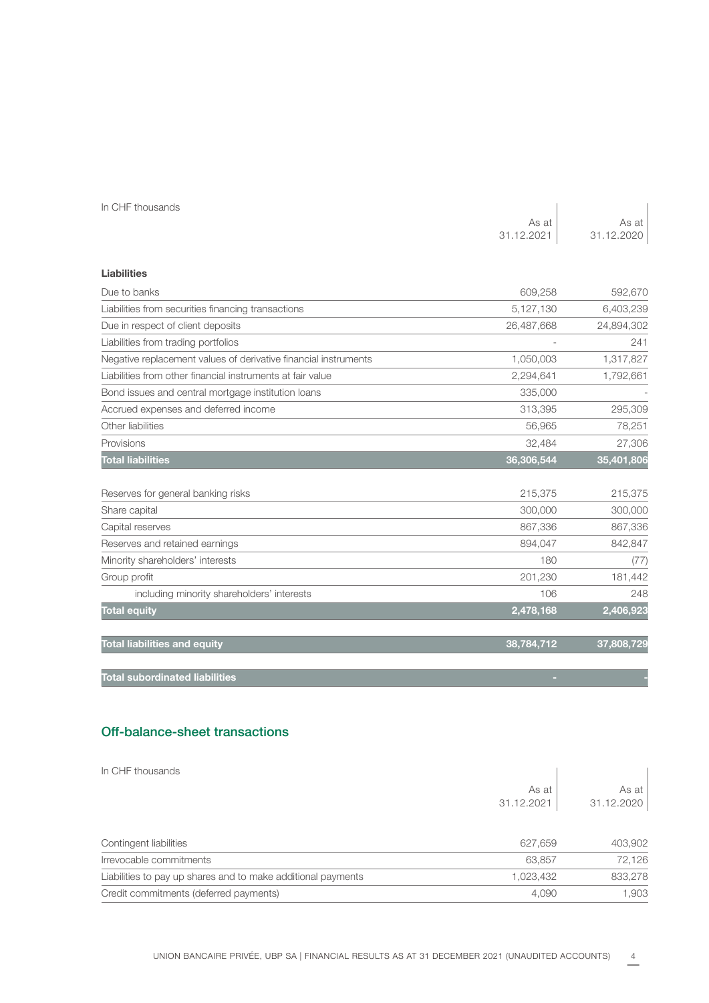|  | In CHF thousands |
|--|------------------|
|--|------------------|

| In CHF thousands                                                |            |            |
|-----------------------------------------------------------------|------------|------------|
|                                                                 | As at      | As at      |
|                                                                 | 31.12.2021 | 31.12.2020 |
|                                                                 |            |            |
| <b>Liabilities</b>                                              |            |            |
| Due to banks                                                    | 609,258    | 592,670    |
| Liabilities from securities financing transactions              | 5,127,130  | 6,403,239  |
| Due in respect of client deposits                               | 26,487,668 | 24,894,302 |
| Liabilities from trading portfolios                             |            | 241        |
| Negative replacement values of derivative financial instruments | 1,050,003  | 1,317,827  |
| Liabilities from other financial instruments at fair value      | 2,294,641  | 1,792,661  |
| Bond issues and central mortgage institution loans              | 335,000    |            |
| Accrued expenses and deferred income                            | 313,395    | 295,309    |
| Other liabilities                                               | 56,965     | 78,251     |
| Provisions                                                      | 32,484     | 27,306     |
| <b>Total liabilities</b>                                        | 36,306,544 | 35,401,806 |
|                                                                 |            |            |
| Reserves for general banking risks                              | 215,375    | 215,375    |
| Share capital                                                   | 300,000    | 300,000    |
| Capital reserves                                                | 867,336    | 867,336    |
| Reserves and retained earnings                                  | 894,047    | 842,847    |
| Minority shareholders' interests                                | 180        | (77)       |
| Group profit                                                    | 201,230    | 181,442    |
| including minority shareholders' interests                      | 106        | 248        |
| <b>Total equity</b>                                             | 2,478,168  | 2,406,923  |
| <b>Total liabilities and equity</b>                             | 38,784,712 | 37,808,729 |
| <b>Total subordinated liabilities</b>                           |            |            |

#### Off-balance-sheet transactions

| In CHF thousands                                             |            |            |
|--------------------------------------------------------------|------------|------------|
|                                                              | As at      | As at      |
|                                                              | 31.12.2021 | 31.12.2020 |
|                                                              |            |            |
| Contingent liabilities                                       | 627,659    | 403,902    |
| Irrevocable commitments                                      | 63,857     | 72,126     |
| Liabilities to pay up shares and to make additional payments | 1,023,432  | 833,278    |
| Credit commitments (deferred payments)                       | 4,090      | 1,903      |
|                                                              |            |            |